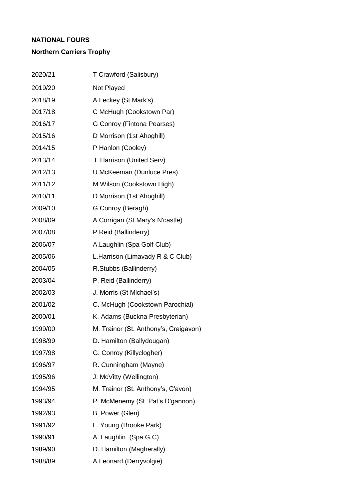## **NATIONAL FOURS**

## **Northern Carriers Trophy**

| 2020/21 | T Crawford (Salisbury)                |
|---------|---------------------------------------|
| 2019/20 | Not Played                            |
| 2018/19 | A Leckey (St Mark's)                  |
| 2017/18 | C McHugh (Cookstown Par)              |
| 2016/17 | G Conroy (Fintona Pearses)            |
| 2015/16 | D Morrison (1st Ahoghill)             |
| 2014/15 | P Hanlon (Cooley)                     |
| 2013/14 | L Harrison (United Serv)              |
| 2012/13 | U McKeeman (Dunluce Pres)             |
| 2011/12 | M Wilson (Cookstown High)             |
| 2010/11 | D Morrison (1st Ahoghill)             |
| 2009/10 | G Conroy (Beragh)                     |
| 2008/09 | A.Corrigan (St.Mary's N'castle)       |
| 2007/08 | P.Reid (Ballinderry)                  |
| 2006/07 | A.Laughlin (Spa Golf Club)            |
| 2005/06 | L. Harrison (Limavady R & C Club)     |
| 2004/05 | R.Stubbs (Ballinderry)                |
| 2003/04 | P. Reid (Ballinderry)                 |
| 2002/03 | J. Morris (St Michael's)              |
| 2001/02 | C. McHugh (Cookstown Parochial)       |
| 2000/01 | K. Adams (Buckna Presbyterian)        |
| 1999/00 | M. Trainor (St. Anthony's, Craigavon) |
| 1998/99 | D. Hamilton (Ballydougan)             |
| 1997/98 | G. Conroy (Killyclogher)              |
| 1996/97 | R. Cunningham (Mayne)                 |
| 1995/96 | J. McVitty (Wellington)               |
| 1994/95 | M. Trainor (St. Anthony's, C'avon)    |
| 1993/94 | P. McMenemy (St. Pat's D'gannon)      |
| 1992/93 | B. Power (Glen)                       |
| 1991/92 | L. Young (Brooke Park)                |
| 1990/91 | A. Laughlin (Spa G.C)                 |
| 1989/90 | D. Hamilton (Magherally)              |
| 1988/89 | A.Leonard (Derryvolgie)               |